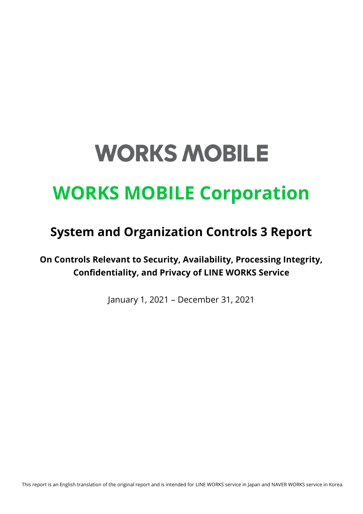# **WORKS MOBILE**

# **WORKS MOBILE Corporation**

## **System and Organization Controls 3 Report**

**On Controls Relevant to Security, Availability, Processing Integrity, Confidentiality, and Privacy of LINE WORKS Service**

January 1, 2021 – December 31, 2021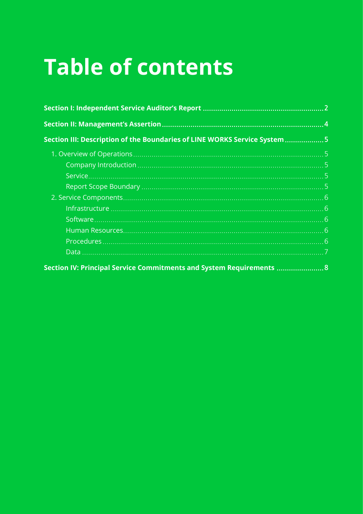# **Table of contents**

| Section III: Description of the Boundaries of LINE WORKS Service System 5 |  |
|---------------------------------------------------------------------------|--|
|                                                                           |  |
|                                                                           |  |
|                                                                           |  |
|                                                                           |  |
|                                                                           |  |
|                                                                           |  |
|                                                                           |  |
|                                                                           |  |
|                                                                           |  |
|                                                                           |  |
| Section IV: Principal Service Commitments and System Requirements  8      |  |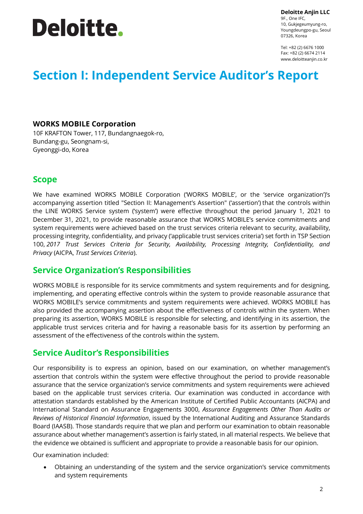# **Deloitte.**

**Deloitte Anjin LLC**

9F., One IFC, 10, Gukjegeumyung-ro, Youngdeungpo-gu, Seoul 07326, Korea

Tel: +82 (2) 6676 1000 Fax: +82 (2) 6674 2114 www.deloitteanjin.co.kr

### **Section I: Independent Service Auditor's Report**

#### **WORKS MOBILE Corporation**

10F KRAFTON Tower, 117, Bundangnaegok-ro, Bundang-gu, Seongnam-si, Gyeonggi-do, Korea

### **Scope**

We have examined WORKS MOBILE Corporation ('WORKS MOBILE', or the 'service organization')'s accompanying assertion titled "Section II: Management's Assertion" ('assertion') that the controls within the LINE WORKS Service system ('system') were effective throughout the period January 1, 2021 to December 31, 2021, to provide reasonable assurance that WORKS MOBILE's service commitments and system requirements were achieved based on the trust services criteria relevant to security, availability, processing integrity, confidentiality, and privacy ('applicable trust services criteria') set forth in [TSP Section](javascript:;)  [100,](javascript:;) *2017 Trust Services Criteria for Security, Availability, Processing Integrity, Confidentiality, and Privacy* (AICPA, *Trust Services Criteria*).

### **Service Organization's Responsibilities**

WORKS MOBILE is responsible for its service commitments and system requirements and for designing, implementing, and operating effective controls within the system to provide reasonable assurance that WORKS MOBILE's service commitments and system requirements were achieved. WORKS MOBILE has also provided the accompanying assertion about the effectiveness of controls within the system. When preparing its assertion, WORKS MOBILE is responsible for selecting, and identifying in its assertion, the applicable trust services criteria and for having a reasonable basis for its assertion by performing an assessment of the effectiveness of the controls within the system.

### **Service Auditor's Responsibilities**

Our responsibility is to express an opinion, based on our examination, on whether management's assertion that controls within the system were effective throughout the period to provide reasonable assurance that the service organization's service commitments and system requirements were achieved based on the applicable trust services criteria. Our examination was conducted in accordance with attestation standards established by the American Institute of Certified Public Accountants (AICPA) and International Standard on Assurance Engagements 3000, *Assurance Engagements Other Than Audits or Reviews of Historical Financial Information*, issued by the International Auditing and Assurance Standards Board (IAASB). Those standards require that we plan and perform our examination to obtain reasonable assurance about whether management's assertion is fairly stated, in all material respects. We believe that the evidence we obtained is sufficient and appropriate to provide a reasonable basis for our opinion.

Our examination included:

• Obtaining an understanding of the system and the service organization's service commitments and system requirements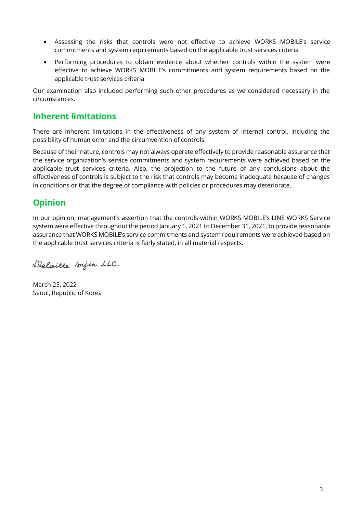- Assessing the risks that controls were not effective to achieve WORKS MOBILE's service commitments and system requirements based on the applicable trust services criteria
- Performing procedures to obtain evidence about whether controls within the system were effective to achieve WORKS MOBILE's commitments and system requirements based on the applicable trust services criteria

Our examination also included performing such other procedures as we considered necessary in the circumstances.

### **Inherent limitations**

There are inherent limitations in the effectiveness of any system of internal control, including the possibility of human error and the circumvention of controls.

Because of their nature, controls may not always operate effectively to provide reasonable assurance that the service organization's service commitments and system requirements were achieved based on the applicable trust services criteria. Also, the projection to the future of any conclusions about the effectiveness of controls is subject to the risk that controls may become inadequate because of changes in conditions or that the degree of compliance with policies or procedures may deteriorate.

### **Opinion**

In our opinion, management's assertion that the controls within WORKS MOBILE's LINE WORKS Service system were effective throughout the period January 1, 2021 to December 31, 2021, to provide reasonable assurance that WORKS MOBILE's service commitments and system requirements were achieved based on the applicable trust services criteria is fairly stated, in all material respects.

Deloitte snjin LLC.

March 25, 2022 Seoul, Republic of Korea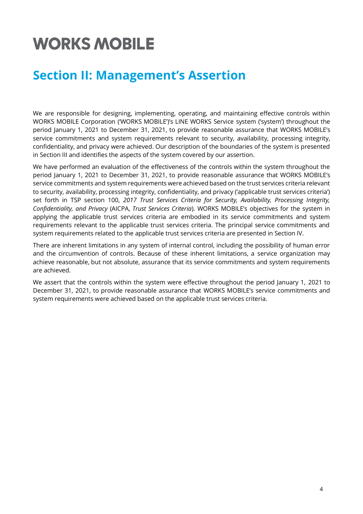## **WORKS MOBILE**

### **Section II: Management's Assertion**

We are responsible for designing, implementing, operating, and maintaining effective controls within WORKS MOBILE Corporation ('WORKS MOBILE')'s LINE WORKS Service system ('system') throughout the period January 1, 2021 to December 31, 2021, to provide reasonable assurance that WORKS MOBILE's service commitments and system requirements relevant to security, availability, processing integrity, confidentiality, and privacy were achieved. Our description of the boundaries of the system is presented in Section III and identifies the aspects of the system covered by our assertion.

We have performed an evaluation of the effectiveness of the controls within the system throughout the period January 1, 2021 to December 31, 2021, to provide reasonable assurance that WORKS MOBILE's service commitments and system requirements were achieved based on the trust services criteria relevant to security, availability, processing integrity, confidentiality, and privacy ('applicable trust services criteria') set forth in TSP section 100, *2017 Trust Services Criteria for Security, Availability, Processing Integrity, Confidentiality, and Privacy* (AICPA, *Trust Services Criteria*). WORKS MOBILE's objectives for the system in applying the applicable trust services criteria are embodied in its service commitments and system requirements relevant to the applicable trust services criteria. The principal service commitments and system requirements related to the applicable trust services criteria are presented in Section IV.

There are inherent limitations in any system of internal control, including the possibility of human error and the circumvention of controls. Because of these inherent limitations, a service organization may achieve reasonable, but not absolute, assurance that its service commitments and system requirements are achieved.

We assert that the controls within the system were effective throughout the period January 1, 2021 to December 31, 2021, to provide reasonable assurance that WORKS MOBILE's service commitments and system requirements were achieved based on the applicable trust services criteria.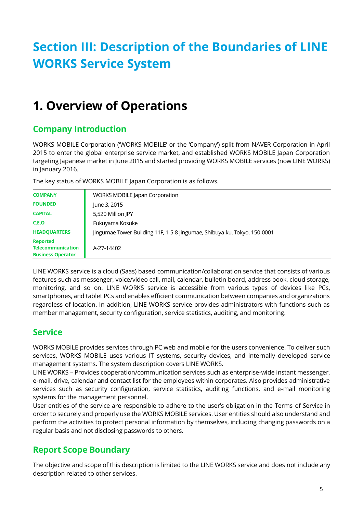## **Section III: Description of the Boundaries of LINE WORKS Service System**

## **1. Overview of Operations**

### **Company Introduction**

WORKS MOBILE Corporation ('WORKS MOBILE' or the 'Company') split from NAVER Corporation in April 2015 to enter the global enterprise service market, and established WORKS MOBILE Japan Corporation targeting Japanese market in June 2015 and started providing WORKS MOBILE services (now LINE WORKS) in January 2016.

The key status of WORKS MOBILE Japan Corporation is as follows.

| <b>COMPANY</b>                                                          | <b>WORKS MOBILE Japan Corporation</b>                                    |
|-------------------------------------------------------------------------|--------------------------------------------------------------------------|
| <b>FOUNDED</b>                                                          | June 3, 2015                                                             |
| <b>CAPITAL</b>                                                          | 5,520 Million JPY                                                        |
| C.E.O                                                                   | Fukuyama Kosuke                                                          |
| <b>HEADQUARTERS</b>                                                     | Jingumae Tower Building 11F, 1-5-8 Jingumae, Shibuya-ku, Tokyo, 150-0001 |
| <b>Reported</b><br><b>Telecommunication</b><br><b>Business Operator</b> | A-27-14402                                                               |

LINE WORKS service is a cloud (Saas) based communication/collaboration service that consists of various features such as messenger, voice/video call, mail, calendar, bulletin board, address book, cloud storage, monitoring, and so on. LINE WORKS service is accessible from various types of devices like PCs, smartphones, and tablet PCs and enables efficient communication between companies and organizations regardless of location. In addition, LINE WORKS service provides administrators with functions such as member management, security configuration, service statistics, auditing, and monitoring.

### **Service**

WORKS MOBILE provides services through PC web and mobile for the users convenience. To deliver such services, WORKS MOBILE uses various IT systems, security devices, and internally developed service management systems. The system description covers LINE WORKS.

LINE WORKS – Provides cooperation/communication services such as enterprise-wide instant messenger, e-mail, drive, calendar and contact list for the employees within corporates. Also provides administrative services such as security configuration, service statistics, auditing functions, and e-mail monitoring systems for the management personnel.

User entities of the service are responsible to adhere to the user's obligation in the Terms of Service in order to securely and properly use the WORKS MOBILE services. User entities should also understand and perform the activities to protect personal information by themselves, including changing passwords on a regular basis and not disclosing passwords to others.

### **Report Scope Boundary**

The objective and scope of this description is limited to the LINE WORKS service and does not include any description related to other services.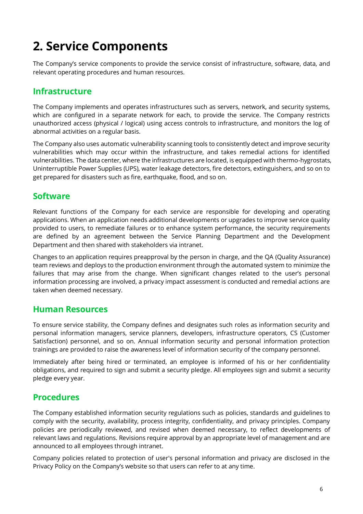## **2. Service Components**

The Company's service components to provide the service consist of infrastructure, software, data, and relevant operating procedures and human resources.

### **Infrastructure**

The Company implements and operates infrastructures such as servers, network, and security systems, which are configured in a separate network for each, to provide the service. The Company restricts unauthorized access (physical / logical) using access controls to infrastructure, and monitors the log of abnormal activities on a regular basis.

The Company also uses automatic vulnerability scanning tools to consistently detect and improve security vulnerabilities which may occur within the infrastructure, and takes remedial actions for identified vulnerabilities. The data center, where the infrastructures are located, is equipped with thermo-hygrostats, Uninterruptible Power Supplies (UPS), water leakage detectors, fire detectors, extinguishers, and so on to get prepared for disasters such as fire, earthquake, flood, and so on.

### **Software**

Relevant functions of the Company for each service are responsible for developing and operating applications. When an application needs additional developments or upgrades to improve service quality provided to users, to remediate failures or to enhance system performance, the security requirements are defined by an agreement between the Service Planning Department and the Development Department and then shared with stakeholders via intranet.

Changes to an application requires preapproval by the person in charge, and the QA (Quality Assurance) team reviews and deploys to the production environment through the automated system to minimize the failures that may arise from the change. When significant changes related to the user's personal information processing are involved, a privacy impact assessment is conducted and remedial actions are taken when deemed necessary.

### **Human Resources**

To ensure service stability, the Company defines and designates such roles as information security and personal information managers, service planners, developers, infrastructure operators, CS (Customer Satisfaction) personnel, and so on. Annual information security and personal information protection trainings are provided to raise the awareness level of information security of the company personnel.

Immediately after being hired or terminated, an employee is informed of his or her confidentiality obligations, and required to sign and submit a security pledge. All employees sign and submit a security pledge every year.

### **Procedures**

The Company established information security regulations such as policies, standards and guidelines to comply with the security, availability, process integrity, confidentiality, and privacy principles. Company policies are periodically reviewed, and revised when deemed necessary, to reflect developments of relevant laws and regulations. Revisions require approval by an appropriate level of management and are announced to all employees through intranet.

Company policies related to protection of user's personal information and privacy are disclosed in the Privacy Policy on the Company's website so that users can refer to at any time.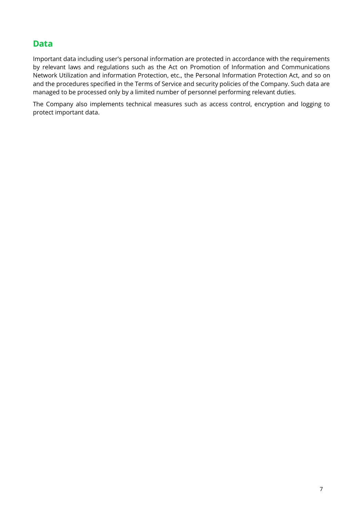### **Data**

Important data including user's personal information are protected in accordance with the requirements by relevant laws and regulations such as the Act on Promotion of Information and Communications Network Utilization and information Protection, etc., the Personal Information Protection Act, and so on and the procedures specified in the Terms of Service and security policies of the Company. Such data are managed to be processed only by a limited number of personnel performing relevant duties.

The Company also implements technical measures such as access control, encryption and logging to protect important data.